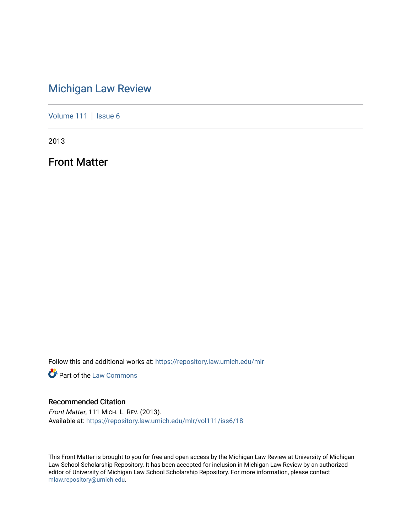## [Michigan Law Review](https://repository.law.umich.edu/mlr)

[Volume 111](https://repository.law.umich.edu/mlr/vol111) | [Issue 6](https://repository.law.umich.edu/mlr/vol111/iss6)

2013

Front Matter

Follow this and additional works at: [https://repository.law.umich.edu/mlr](https://repository.law.umich.edu/mlr?utm_source=repository.law.umich.edu%2Fmlr%2Fvol111%2Fiss6%2F18&utm_medium=PDF&utm_campaign=PDFCoverPages) 

**Part of the [Law Commons](http://network.bepress.com/hgg/discipline/578?utm_source=repository.law.umich.edu%2Fmlr%2Fvol111%2Fiss6%2F18&utm_medium=PDF&utm_campaign=PDFCoverPages)** 

## Recommended Citation

Front Matter, 111 MICH. L. REV. (2013). Available at: [https://repository.law.umich.edu/mlr/vol111/iss6/18](https://repository.law.umich.edu/mlr/vol111/iss6/18?utm_source=repository.law.umich.edu%2Fmlr%2Fvol111%2Fiss6%2F18&utm_medium=PDF&utm_campaign=PDFCoverPages) 

This Front Matter is brought to you for free and open access by the Michigan Law Review at University of Michigan Law School Scholarship Repository. It has been accepted for inclusion in Michigan Law Review by an authorized editor of University of Michigan Law School Scholarship Repository. For more information, please contact [mlaw.repository@umich.edu.](mailto:mlaw.repository@umich.edu)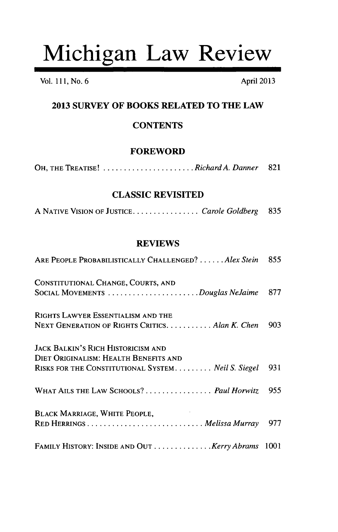# Michigan Law Review

Vol. 111, No. 6 April 2013

## **2013 SURVEY OF BOOKS RELATED TO THE LAW**

## **CONTENTS**

## **FOREWORD**

| OH, THE TREATISE! Richard A. Danner 821 |  |  |
|-----------------------------------------|--|--|
|-----------------------------------------|--|--|

## **CLASSIC REVISITED**

| A NATIVE VISION OF JUSTICECarole Goldberg 835 |  |  |
|-----------------------------------------------|--|--|
|-----------------------------------------------|--|--|

## **REVIEWS**

| ARE PEOPLE PROBABILISTICALLY CHALLENGED?  Alex Stein                                        | 855 |
|---------------------------------------------------------------------------------------------|-----|
| CONSTITUTIONAL CHANGE, COURTS, AND<br>SOCIAL MOVEMENTS Douglas NeJaime                      | 877 |
| RIGHTS LAWYER ESSENTIALISM AND THE<br>NEXT GENERATION OF RIGHTS CRITICS. Alan K. Chen       | 903 |
| <b>JACK BALKIN'S RICH HISTORICISM AND</b>                                                   |     |
| DIET ORIGINALISM: HEALTH BENEFITS AND<br>RISKS FOR THE CONSTITUTIONAL SYSTEM Neil S. Siegel | 931 |
| WHAT AILS THE LAW SCHOOLS?  Paul Horwitz                                                    | 955 |
| <b>BLACK MARRIAGE, WHITE PEOPLE,</b>                                                        | 977 |
| FAMILY HISTORY: INSIDE AND OUT  Kerry Abrams 1001                                           |     |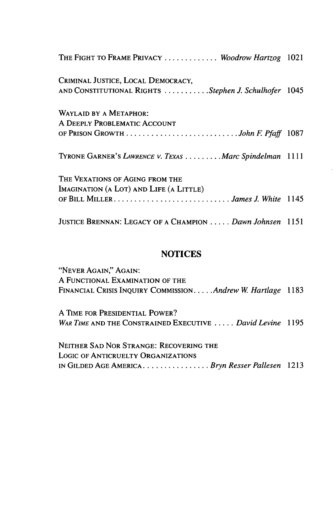| THE FIGHT TO FRAME PRIVACY  Woodrow Hartzog 1021         |  |
|----------------------------------------------------------|--|
| CRIMINAL JUSTICE, LOCAL DEMOCRACY,                       |  |
| AND CONSTITUTIONAL RIGHTS Stephen J. Schulhofer 1045     |  |
| WAYLAID BY A METAPHOR:                                   |  |
| A DEEPLY PROBLEMATIC ACCOUNT                             |  |
| OF PRISON GROWTH John F. Pfaff 1087                      |  |
| TYRONE GARNER'S LAWRENCE V. TEXAS Marc Spindelman 1111   |  |
| THE VEXATIONS OF AGING FROM THE                          |  |
| IMAGINATION (A LOT) AND LIFE (A LITTLE)                  |  |
|                                                          |  |
| JUSTICE BRENNAN: LEGACY OF A CHAMPION  Dawn Johnsen 1151 |  |

## **NOTICES**

"NEVER AGAIN," AGAIN: A FUNCTIONAL EXAMINATION OF THE FINANCIAL CRISIS INQUIRY COMMISSION **.....** *Andrew W Hartlage* 1183

**A TIME** FOR **PRESIDENTIAL** POWER? *WAR TME* **AND** THE CONSTRAINED EXECUTIVE **.....** *David Levine* 1195

NEITHER SAD NOR STRANGE: RECOVERING THE LOGIC OF ANTICRUELTY ORGANIZATIONS IN GILDED AGE AMERICA ................ *Bryn Resser Pallesen 1213*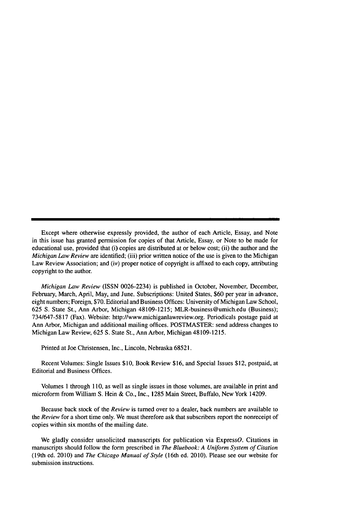Except where otherwise expressly provided, the author of each Article, Essay, and Note in this issue has granted permission for copies of that Article, Essay, or Note to be made for educational use, provided that (i) copies are distributed at or below cost; (ii) the author and the *Michigan Law Review* are identified; (iii) prior written notice of the use is given to the Michigan Law Review Association; and (iv) proper notice of copyright is affixed to each copy, attributing copyright to the author.

*Michigan Law Review* (ISSN 0026-2234) is published in October, November, December, February, March, April, May, and June. Subscriptions: United States, **\$60** per year in advance, eight numbers; Foreign, \$70. Editorial and Business Offices: University of Michigan Law School, 625 S. State St., Ann Arbor, Michigan 48109-1215; MLR-business@umich.edu (Business); 734/647-5817 (Fax). Website: http://www.michiganlawreview.org. Periodicals postage paid at Ann Arbor, Michigan and additional mailing offices. POSTMASTER: send address changes to Michigan Law Review, 625 S. State St., Ann Arbor, Michigan 48109-1215.

Printed at Joe Christensen, Inc., Lincoln, Nebraska 68521.

Recent Volumes: Single Issues \$10, Book Review \$16, and Special Issues \$12, postpaid, at Editorial and Business Offices.

Volumes **1** through 110, as well as single issues in those volumes, are available in print and microform from William S. Hein & Co., Inc., 1285 Main Street, Buffalo, New York 14209.

Because back stock of the *Review* is turned over to a dealer, back numbers are available to *the Review* for a short time only. We must therefore ask that subscribers report the nonreceipt of copies within six months of the mailing date.

We gladly consider unsolicited manuscripts for publication via ExpressO. Citations in manuscripts should follow the form prescribed in *The Bluebook: A Uniform System of Citation* (19th ed. 2010) and *The Chicago Manual of Style* (16th ed. 2010). Please see our website for submission instructions.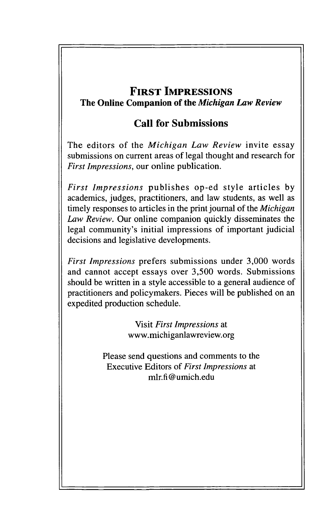## **FIRST IMPRESSIONS The Online Companion of the** *Michigan Law Review*

## **Call for Submissions**

The editors of the *Michigan Law Review* invite essay submissions on current areas of legal thought and research for *First Impressions,* our online publication.

*First Impressions* publishes op-ed style articles **by** academics, judges, practitioners, and law students, as well as timely responses to articles in the print journal of the *Michigan Law Review.* Our online companion quickly disseminates the legal community's initial impressions of important judicial decisions and legislative developments.

*First Impressions* prefers submissions under 3,000 words and cannot accept essays over 3,500 words. Submissions should be written in a style accessible to a general audience of practitioners and policymakers. Pieces will be published on an expedited production schedule.

> Visit *First Impressions* at www.michiganlawreview.org

Please send questions and comments to the Executive Editors of *First Impressions* at mlr.fi@umich.edu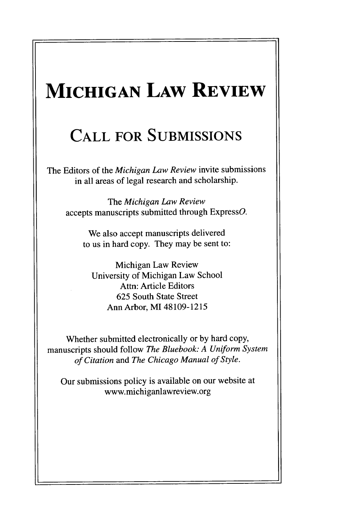## **MICHIGAN LAW REVIEW**

## **CALL FOR SUBMISSIONS**

The Editors of the *Michigan Law Review* invite submissions in all areas of legal research and scholarship.

The *Michigan Law Review* accepts manuscripts submitted through ExpressO.

We also accept manuscripts delivered to us in hard copy. They may be sent to:

Michigan Law Review University of Michigan Law School Attn: Article Editors 625 South State Street Ann Arbor, MI 48109-1215

Whether submitted electronically or by hard copy, manuscripts should follow *The Bluebook: A Uniform System of Citation* and *The Chicago Manual of Style.*

Our submissions policy is available on our website at www.michiganlawreview.org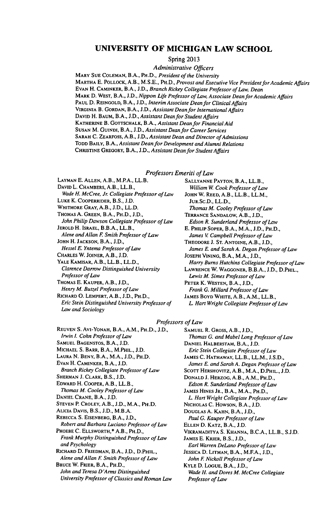### **UNIVERSITY OF MICHIGAN LAW SCHOOL**

Spring 2013

*Administrative Officers*

MARY **SUE COLEMAN,** B.A., PH.D., *President of the University* MARTHA E. POLLOCK, A.B., M.S.E., PH.D., *Provost and Executive Vice President for Academic Affairs* **EVAN** H. **CAMINKER,** B.A., J.D., *Branch Rickey Collegiate Professor of Law, Dean* MARK D. WEST, B.A., J.D., *Nippon Life Professor of Law, Associate Dean for Academic Affairs* **PAUL D. REINGOLD,** B.A., J.D., *Interim Associate Dean for Clinical Affairs* VIRGINIA B. **GORDAN,** B.A., J.D., *Assistant Deanfor InternationalAffairs* DAVID H. **BAUM,** B.A., J.D., *Assistant Dean for Student Affairs* **KATHERINE** B. GOTTSCHALK, B.A., *Assistant Dean for Financial Aid* **SUSAN** M. **GUINDI,** B.A., J.D., *Assistant Dean for Career Services* **SARAH** C. **ZEARFOSS,** A.B., J.D., *Assistant Dean and Director of Admissions* TODD BAILY, B.A., *Assistant Dean for Development and Alumni Relations* CHRISTINE GREGORY, B.A., J.D., *Assistant Dean for Student Affairs*

*Professors Emeriti of Law*

**LAYMAN** E. **ALLEN,** A.B., M.P.A., LL.B. **DAVID** L. CHAMBERS, A.B., LL.B., *Wade H. McCree, Jr Collegiate Professor of Law* **LUKE** K. COOPERRIDER, B.S., J.D. WHITMORE **GRAY,** A.B., J.D., LL.D. THOMAS A. **GREEN,** B.A., PH.D., **J.D.,** *John Philip Dawson Collegiate Professor of Law* **JEROLD** H. **ISRAEL,** B.B.A., LL.B., *Alene and Allan F Smith Professor of Law* **JOHN** H. **JACKSON,** B.A., J.D., *Hessel E. Yntema Professor of Law* **CHARLES** W. **JOINER,** A.B., **J.D.** YALE KAMISAR, A.B., LL.B., LL.D., *Clarence Darrow Distinguished University Professor of Law* THOMAS E. **KAUPER,** A.B., J.D.,

*Henry M. Butzel Professor of Law*

**RICHARD 0. LEMPERT,** A.B., J.D., PH.D., *Eric Stein Distinguished University Professor of Law and Sociology*

**SALLYANNE PAYTON,** B.A., LL.B., *William W Cook Professor of Law* **JOHN** W. **REED,** A.B., LL.B., LL.M., JUR.Sc.D., LL.D., *Thomas M. Cooley Professor of Law* TERRANCE SANDALOW, A.B., J.D., *Edson R. Sunderland Professor of Law* E. PHILIP SOPER, B.A., M.A., J.D., PH.D., *James V Campbell Professor of Law* THEODORE **J. ST. ANTOINE,** A.B., J.D., *James E. and Sarah A. Degan Professor of Law* **JOSEPH VINING,** B.A., M.A., J.D., *Harry Bums Hutchins Collegiate Professor of Law* LAWRENCE W. **WAGGONER,** B.B.A., J.D., D.PHIL., *Lewis M. Simes Professor of Law* **PETER** K. **WESTEN,** B.A., J.D., *Frank G. Millard Professor of Law* JAMES BOYD WHITE, A.B., A.M., LL.B., *L Hart Wright Collegiate Professor of Law*

### *Professors of Law*

**REUVEN** S. AvI-YONAH, B.A., A.M., PH.D., J.D., *Irwin L Cohn Professor of Law* **SAMUEL BAGENSTOS,** B.A., J.D. **MICHAEL S.** BARR, B.A., M.PHIL., **J.D. LAURA N. BENY,** B.A., M.A., J.D., PH.D. **EVAN** H. **CAMINKER,** B.A., J.D. *Branch Rickey Collegiate Professor of Law* **SHERMAN** J. **CLARK,** B.S., **J.D. EDWARD** H. **COOPER,** A.B., LL.B., *Thomas M. Cooley Professor of Law* **DANIEL CRANE,** B.A., J.D. **STEVEN** P. **CROLEY,** A.B., J.D., M.A., PH.D. ALICIA DAVIS, B.S., J.D., M.B.A. **REBECCA** S. **EISENBERG,** B.A., J.D., *Robert and Barbara Laciano Professor of Law* PHOEBE C. ELLSWORTH,\* A.B., PH.D., *Frank Murphy Distinguished Professor of Law and Psychology* RICHARD D. FRIEDMAN, B.A., J.D., D.PHIL., *Alene and Allan E Smith Professor of Law* BRUCE W. **FRIER,** B.A., PH.D., *John and Teresa D'Arms Distinguished*

*University Professor of Classics and Roman Law*

**SAMUEL** R. GROSS, A.B., J.D., *Thomas G. and Mabel Long Professor of Law* **DANIEL** HALBERSTAM, B.A., J.D. *Eric Stein Collegiate Professor of Law* **JAMES** C. HATHAWAY, LL.B., LL.M., J.S.D., *James E. and Sarah A. Degan Professor of Law* SCOTT HERSHOVITZ, A.B., M.A., D.PHIL., J.D. **DONALD J.** HERZOG, A.B., A.M., PH.D., *Edson R. Sunderland Professor of Law* **JAMES HINES** JR., B.A., M.A., PH.D., *L Hart Wright Collegiate Professor of Law* NICHOLAS **C. HOWSON,** B.A., J.D. DOUGLAS A. **KAHN,** B.A., **J.D.,** *Paul G. Kauper Professor of Law* **ELLEN** D. KATZ, B.A., **J.D.** VIKRAMADITYA S. **KHANNA,** B.C.A., LL.B., S.J.D. JAMES E. KRIER, B.S., J.D., *Earl Warren DeLano Professor of Law* **JESSICA** D. **LITMAN,** B.A., M.FA., J.D., *John F Nickoll Professor of Law* **KYLE** D. LOGUE, B.A., **J.D.,** *Wade H. and Dores M. McCree Collegiate Professor of Law*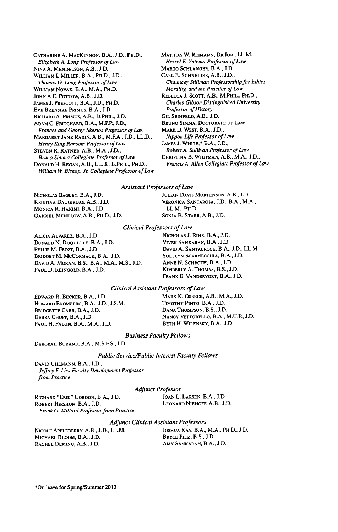CATHARINE A. MACKINNON, B.A., **J.D.,** PH.D., Elizabeth **A.** Long Professor of *Law* NINA A. MENDELSON, A.B., J.D. WILLIAM I. MILLER, B.A., PH.D., J.D., *Thomas G. Long Professor of Law* WILLIAM NOVAK, B.A., M.A., PH.D. JOHN A.E. POTTow, A.B., J.D. JAMES J. PRESCOTT, B.A., J.D., PH.D. EVE BRENSIKE PRIMUS, B.A., J.D. RICHARD A. PRIMUS, A.B., D.PHIL., J.D. **ADAM** C. PRITCHARD, B.A., M.P.P., J.D., Frances and George Skestos Professor of Law MARGARET JANE RADIN, A.B., M.F.A., J.D., LL.D., *Henry King Ransom* Professor of Law **STEVEN** R. RATNER, A.B., M.A., J.D., Bruno Simma Collegiate Professor of Law DONALD H. REGAN, A.B., LL.B., B.PHIL., PH.D., William W. Bishop, Jr. Collegiate Professor of Law

MATHIAS W. REIMANN, DRIUR., LL.M., *Hessel* E. Yntema Professor of Law MARGO SCHLANGER, B.A., J.D. CARL E. **SCHNEIDER,** A.B., J.D., Chauncey Stillman Professorship for Ethics, Morality, and the Practice of Law REBECCA J. SCOTT, A.B., M.PHIL., PH.D., Charles Gibson Distinguished University Professor of History GIL SEINFELD, A.B., J.D. **BRUNO** SIMMA, DOCTORATE **OF** LAW MARK **D.** WEST, B.A., **J.D.,** Nippon Life Professor of Law **JAMES** J. WHITE,\* B.A., J.D., Robert A. Sullivan Professor of Law CHRISTINA B. WHITMAN, A.B., M.A., J.D., Francis A. Allen Collegiate Professor of Law

Assistant Professors of Law

MONICA R. HAKIMI, B.A., **J.D.** LL.M., PH.D. **GABRIEL** MENDLOW, A.B., PH.D., **J.D.** SONJA B. STARR, A.B., J.D.

NICHOLAS **BAGLEY,** B.A., **J.D. JULIAN** DAVIS MORTENSON, A.B., **J.D.** KRISTINA DAUGIRDAS, A.B., J.D. **VERONICA** SANTAROSA, J.D., B.A., M.A.,

Clinical Professors *of* Law

ALICIA ALVAREZ, B.A., **J.D.** NICHOLAS J. RINE, B.A., J.D. DONALD **N.** DUQUETTE, B.A., **J.D.** VIVEK SANKARAN, B.A., J.D. PHILIP M. FROST, B.A., **J.D.** DAVID **A.** SANTACROCE, B.A., J.D., LL.M. BRIDGET M. MCCORMACK, B.A., **J.D. SUELLYN** SCARNECCHIA, B.A., J.D. DAVID A. MORAN, B.S., B.A., M.A., M.S., **J.D.** ANNE N. SCHROTH, B.A., **J.D.** PAUL **D.** REINGOLD, B.A., **J.D.** KIMBERLY **A.** THOMAS, B.S., **J.D.**

FRANK **E.** VANDERVORT, **B.A., J.D.**

#### Clinical Assistant Professors of Law

HOWARD BROMBERG, B.A., J.D., **J.S.M.** TIMOTHY PINTO, B.A., **J.D.** BRIDGETrE CARR, B.A., J.D. DANA **THOMPSON,** B.S., **J.D.** PAUL H. FALON, B.A., M.A., J.D.

EDWARD R. BECKER, B.A., J.D. MARK K. OSBECK, A.B., M.A., **J.D.** DEBRA CHOPP, B.A., **J.D.** NANCY VETrORELLO, B.A., **M.U.P.,** J.D.

Business Faculty Fellows

DEBORAH **BURAND,** B.A., M.S.F.S., J.D.

#### Public Service/Public Interest Faculty Fellows

**DAVID** UHLMANN, B.A., J.D., Jeffrey F. Liss Faculty Development Professor from Practice

Adjunct Professor

RICHARD "ERIK" GORDON, B.A., J.D. JOAN L. LARSEN, B.A., J.D. ROBERT HIRSHON, B.A., **J.D.** LEONARD NIEHOFF, A.B., **J.D.** Frank G. Millard Professor from Practice

### Adjunct Clinical Assistant Professors

MICHAEL BLOOM, B.A., J.D. RACHEL DEMING, A.B., J.D. **AMY SANKARAN, B.A., J.D.** 

NICOLE APPLEBERRY, A.B., **J.D.,** LL.M. JOSHUA KAY, B.A., M.A., PH.D., J.D.